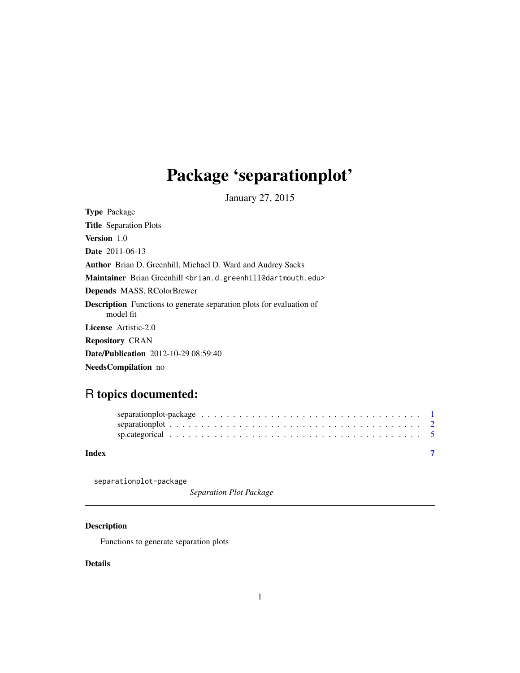# <span id="page-0-0"></span>Package 'separationplot'

January 27, 2015

| <b>Type</b> Package                                                                      |
|------------------------------------------------------------------------------------------|
| <b>Title</b> Separation Plots                                                            |
| <b>Version</b> 1.0                                                                       |
| <b>Date</b> 2011-06-13                                                                   |
| <b>Author</b> Brian D. Greenhill, Michael D. Ward and Audrey Sacks                       |
| Maintainer Brian Greenhill<br>                                                           |
| <b>Depends</b> MASS, RColorBrewer                                                        |
| <b>Description</b> Functions to generate separation plots for evaluation of<br>model fit |
| <b>License</b> Artistic-2.0                                                              |
| <b>Repository CRAN</b>                                                                   |
| <b>Date/Publication</b> 2012-10-29 08:59:40                                              |
| <b>NeedsCompilation</b> no                                                               |

# R topics documented:

| Index |  |  |  |  |  |  |  |  |  |  |  |  |  |  |  |  |  |
|-------|--|--|--|--|--|--|--|--|--|--|--|--|--|--|--|--|--|

separationplot-package

*Separation Plot Package*

# Description

Functions to generate separation plots

# Details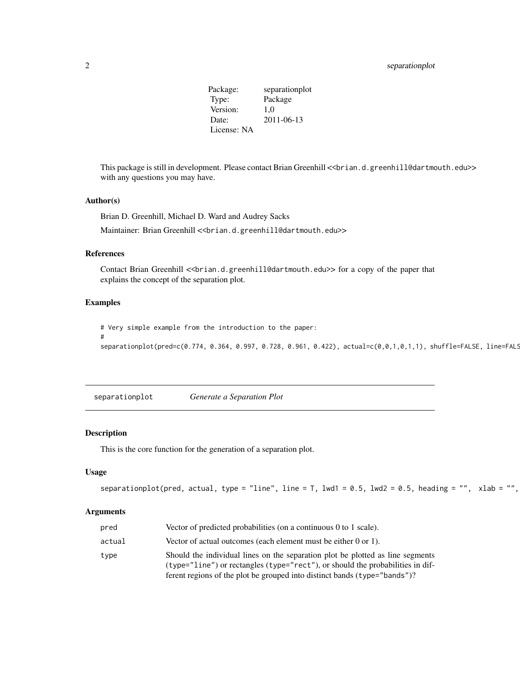# <span id="page-1-0"></span>2 separationplot

Package: separationplot Type: Package Version: 1,0 Date: 2011-06-13 License: NA

This package is still in development. Please contact Brian Greenhill <<br/>brian.d.greenhill@dartmouth.edu>> with any questions you may have.

# Author(s)

Brian D. Greenhill, Michael D. Ward and Audrey Sacks Maintainer: Brian Greenhill << brian.d.greenhill@dartmouth.edu>>

#### References

Contact Brian Greenhill << brian.d.greenhill@dartmouth.edu>> for a copy of the paper that explains the concept of the separation plot.

#### Examples

#

# Very simple example from the introduction to the paper:

separationplot(pred=c(0.774, 0.364, 0.997, 0.728, 0.961, 0.422), actual=c(0,0,1,0,1,1), shuffle=FALSE, line=FALS

<span id="page-1-1"></span>separationplot *Generate a Separation Plot*

#### Description

This is the core function for the generation of a separation plot.

# Usage

```
separationplot(pred, actual, type = "line", line = T, lwd1 = 0.5, lwd2 = 0.5, heading = "", xlab = "",
```
#### Arguments

| pred   | Vector of predicted probabilities (on a continuous $0$ to 1 scale).                                                                                                                                                                                |
|--------|----------------------------------------------------------------------------------------------------------------------------------------------------------------------------------------------------------------------------------------------------|
| actual | Vector of actual outcomes (each element must be either 0 or 1).                                                                                                                                                                                    |
| type   | Should the individual lines on the separation plot be plotted as line segments<br>$(type="line")$ or rectangles $(type="rect")$ , or should the probabilities in dif-<br>ferent regions of the plot be grouped into distinct bands (type="bands")? |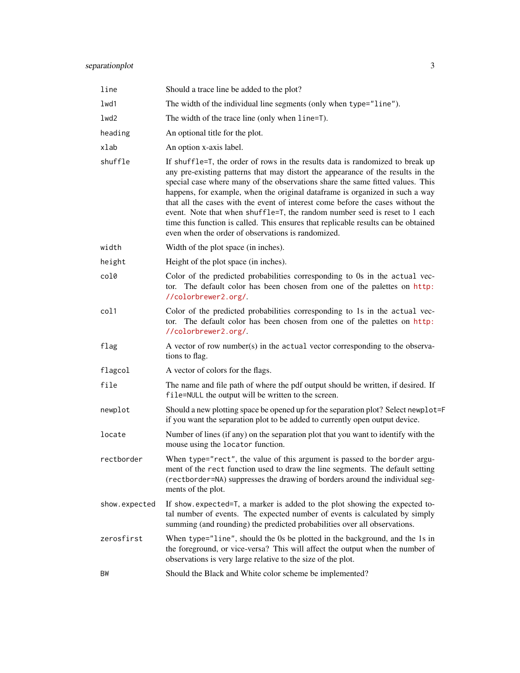# separationplot 3

| line          | Should a trace line be added to the plot?                                                                                                                                                                                                                                                                                                                                                                                                                                                                                                                                                                                                       |
|---------------|-------------------------------------------------------------------------------------------------------------------------------------------------------------------------------------------------------------------------------------------------------------------------------------------------------------------------------------------------------------------------------------------------------------------------------------------------------------------------------------------------------------------------------------------------------------------------------------------------------------------------------------------------|
| 1wd1          | The width of the individual line segments (only when type="line").                                                                                                                                                                                                                                                                                                                                                                                                                                                                                                                                                                              |
| 1wd2          | The width of the trace line (only when line=T).                                                                                                                                                                                                                                                                                                                                                                                                                                                                                                                                                                                                 |
| heading       | An optional title for the plot.                                                                                                                                                                                                                                                                                                                                                                                                                                                                                                                                                                                                                 |
| xlab          | An option x-axis label.                                                                                                                                                                                                                                                                                                                                                                                                                                                                                                                                                                                                                         |
| shuffle       | If shuffle=T, the order of rows in the results data is randomized to break up<br>any pre-existing patterns that may distort the appearance of the results in the<br>special case where many of the observations share the same fitted values. This<br>happens, for example, when the original dataframe is organized in such a way<br>that all the cases with the event of interest come before the cases without the<br>event. Note that when shuffle=T, the random number seed is reset to 1 each<br>time this function is called. This ensures that replicable results can be obtained<br>even when the order of observations is randomized. |
| width         | Width of the plot space (in inches).                                                                                                                                                                                                                                                                                                                                                                                                                                                                                                                                                                                                            |
| height        | Height of the plot space (in inches).                                                                                                                                                                                                                                                                                                                                                                                                                                                                                                                                                                                                           |
| col0          | Color of the predicted probabilities corresponding to 0s in the actual vec-<br>tor. The default color has been chosen from one of the palettes on http:<br>//colorbrewer2.org/.                                                                                                                                                                                                                                                                                                                                                                                                                                                                 |
| col1          | Color of the predicted probabilities corresponding to 1s in the actual vec-<br>tor. The default color has been chosen from one of the palettes on http:<br>//colorbrewer2.org/.                                                                                                                                                                                                                                                                                                                                                                                                                                                                 |
| flag          | A vector of row number(s) in the actual vector corresponding to the observa-<br>tions to flag.                                                                                                                                                                                                                                                                                                                                                                                                                                                                                                                                                  |
| flagcol       | A vector of colors for the flags.                                                                                                                                                                                                                                                                                                                                                                                                                                                                                                                                                                                                               |
| file          | The name and file path of where the pdf output should be written, if desired. If<br>file=NULL the output will be written to the screen.                                                                                                                                                                                                                                                                                                                                                                                                                                                                                                         |
| newplot       | Should a new plotting space be opened up for the separation plot? Select newplot=F<br>if you want the separation plot to be added to currently open output device.                                                                                                                                                                                                                                                                                                                                                                                                                                                                              |
| locate        | Number of lines (if any) on the separation plot that you want to identify with the<br>mouse using the locator function.                                                                                                                                                                                                                                                                                                                                                                                                                                                                                                                         |
| rectborder    | When type="rect", the value of this argument is passed to the border argu-<br>ment of the rect function used to draw the line segments. The default setting<br>(rectborder=NA) suppresses the drawing of borders around the individual seg-<br>ments of the plot.                                                                                                                                                                                                                                                                                                                                                                               |
| show.expected | If show expected=T, a marker is added to the plot showing the expected to-<br>tal number of events. The expected number of events is calculated by simply<br>summing (and rounding) the predicted probabilities over all observations.                                                                                                                                                                                                                                                                                                                                                                                                          |
| zerosfirst    | When type="line", should the 0s be plotted in the background, and the 1s in<br>the foreground, or vice-versa? This will affect the output when the number of<br>observations is very large relative to the size of the plot.                                                                                                                                                                                                                                                                                                                                                                                                                    |
| ΒW            | Should the Black and White color scheme be implemented?                                                                                                                                                                                                                                                                                                                                                                                                                                                                                                                                                                                         |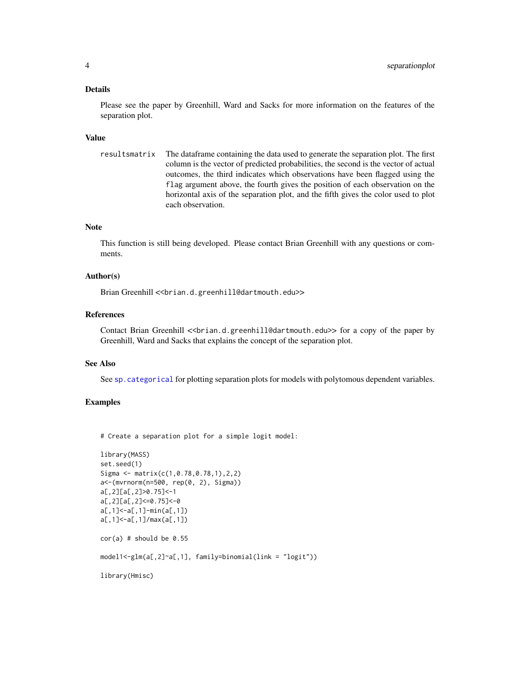#### <span id="page-3-0"></span>Details

Please see the paper by Greenhill, Ward and Sacks for more information on the features of the separation plot.

#### Value

```
resultsmatrix The dataframe containing the data used to generate the separation plot. The first
                  column is the vector of predicted probabilities, the second is the vector of actual
                   outcomes, the third indicates which observations have been flagged using the
                   flag argument above, the fourth gives the position of each observation on the
                  horizontal axis of the separation plot, and the fifth gives the color used to plot
                   each observation.
```
#### Note

This function is still being developed. Please contact Brian Greenhill with any questions or comments.

# Author(s)

Brian Greenhill << brian.d.greenhill@dartmouth.edu>>

# References

Contact Brian Greenhill << brian.d.greenhill@dartmouth.edu>> for a copy of the paper by Greenhill, Ward and Sacks that explains the concept of the separation plot.

#### See Also

See [sp.categorical](#page-4-1) for plotting separation plots for models with polytomous dependent variables.

# Examples

# Create a separation plot for a simple logit model:

```
library(MASS)
set.seed(1)
Sigma <- matrix(c(1,0.78,0.78,1),2,2)
a<-(mvrnorm(n=500, rep(0, 2), Sigma))
a[,2][a[,2]>0.75]<-1
a[,2][a[,2]<=0.75]<-0
a[,1]<-a[,1]-min(a[,1])
a[,1]<-a[,1]/max(a[,1])
cor(a) # should be 0.55
model1<-glm(a[,2]~a[,1], family=binomial(link = "logit"))
library(Hmisc)
```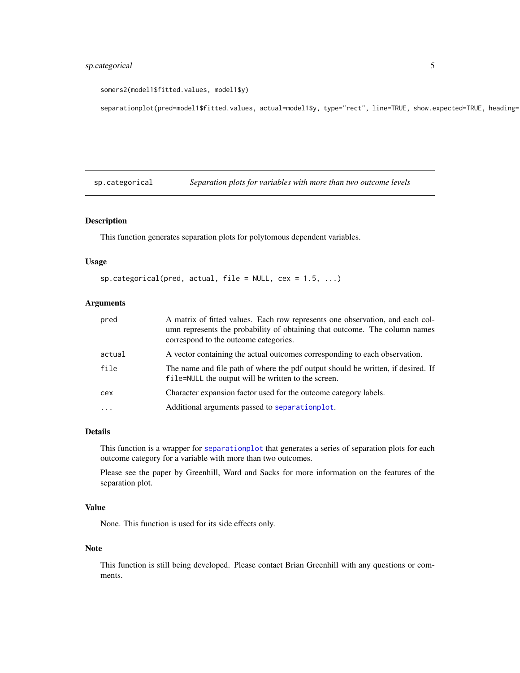# <span id="page-4-0"></span>sp.categorical 5

```
somers2(model1$fitted.values, model1$y)
```
separationplot(pred=model1\$fitted.values, actual=model1\$y, type="rect", line=TRUE, show.expected=TRUE, heading=

<span id="page-4-1"></span>sp.categorical *Separation plots for variables with more than two outcome levels*

# Description

This function generates separation plots for polytomous dependent variables.

# Usage

```
sp.categorical(pred, actual, file = NULL, cex = 1.5, ...)
```
# Arguments

| pred     | A matrix of fitted values. Each row represents one observation, and each col-<br>umn represents the probability of obtaining that outcome. The column names<br>correspond to the outcome categories. |
|----------|------------------------------------------------------------------------------------------------------------------------------------------------------------------------------------------------------|
| actual   | A vector containing the actual outcomes corresponding to each observation.                                                                                                                           |
| file     | The name and file path of where the pdf output should be written, if desired. If<br>file=NULL the output will be written to the screen.                                                              |
| cex      | Character expansion factor used for the outcome category labels.                                                                                                                                     |
| $\cdots$ | Additional arguments passed to separationplot.                                                                                                                                                       |
|          |                                                                                                                                                                                                      |

#### Details

This function is a wrapper for [separationplot](#page-1-1) that generates a series of separation plots for each outcome category for a variable with more than two outcomes.

Please see the paper by Greenhill, Ward and Sacks for more information on the features of the separation plot.

#### Value

None. This function is used for its side effects only.

#### Note

This function is still being developed. Please contact Brian Greenhill with any questions or comments.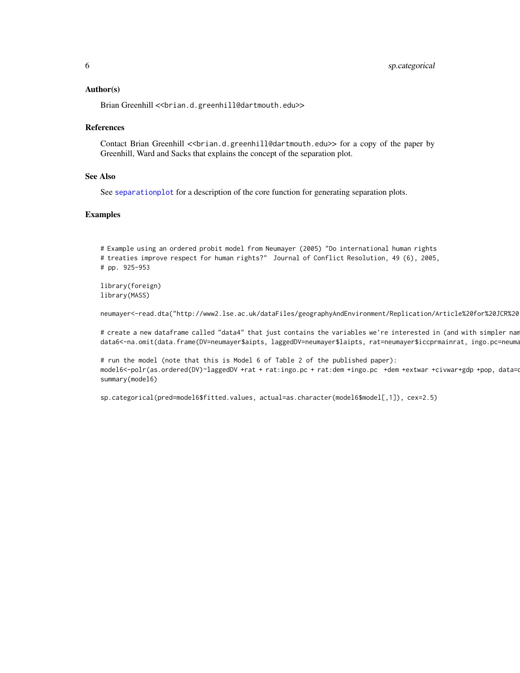#### <span id="page-5-0"></span>Author(s)

Brian Greenhill << brian.d.greenhill@dartmouth.edu>>

#### References

Contact Brian Greenhill << brian.d.greenhill@dartmouth.edu>> for a copy of the paper by Greenhill, Ward and Sacks that explains the concept of the separation plot.

#### See Also

See [separationplot](#page-1-1) for a description of the core function for generating separation plots.

#### Examples

# Example using an ordered probit model from Neumayer (2005) "Do international human rights # treaties improve respect for human rights?" Journal of Conflict Resolution, 49 (6), 2005, # pp. 925-953

library(foreign) library(MASS)

neumayer<-read.dta("http://www2.lse.ac.uk/dataFiles/geographyAndEnvironment/Replication/Article%20for%20JCR%20

# create a new dataframe called "data4" that just contains the variables we're interested in (and with simpler nam data6<-na.omit(data.frame(DV=neumayer\$aipts, laggedDV=neumayer\$laipts, rat=neumayer\$iccprmainrat, ingo.pc=neuma

# run the model (note that this is Model 6 of Table 2 of the published paper): model6<-polr(as.ordered(DV)~laggedDV +rat + rat:ingo.pc + rat:dem +ingo.pc +dem +extwar +civwar+gdp +pop, data= summary(model6)

sp.categorical(pred=model6\$fitted.values, actual=as.character(model6\$model[,1]), cex=2.5)